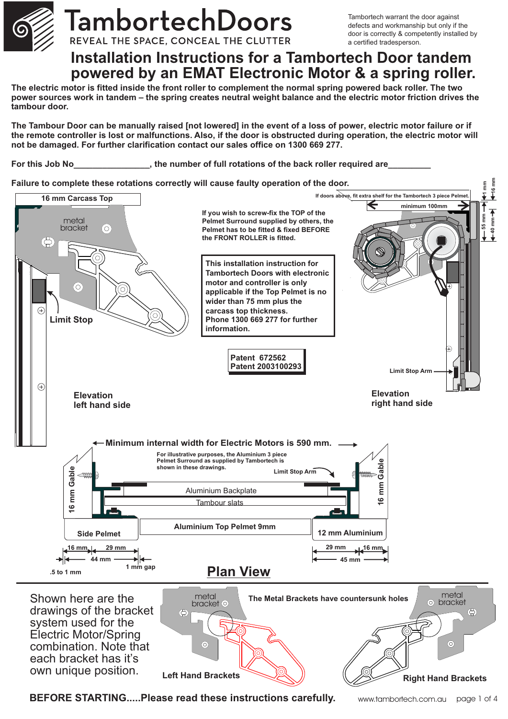

# TambortechDoors

REVEAL THE SPACE, CONCEAL THE CLUTTER

Tambortech warrant the door against defects and workmanship but only if the door is correctly & competently installed by a certified tradesperson.

# **Installation Instructions for a Tambortech Door tandem powered by an EMAT Electronic Motor & a spring roller.**

**The electric motor is fitted inside the front roller to complement the normal spring powered back roller. The two power sources work in tandem – the spring creates neutral weight balance and the electric motor friction drives the tambour door.**

**The Tambour Door can be manually raised [not lowered] in the event of a loss of power, electric motor failure or if the remote controller is lost or malfunctions. Also, if the door is obstructed during operation, the electric motor will not be damaged. For further clarification contact our sales office on 1300 669 277.**

For this Job No This 10b No This 10b No This 10b No This 10b No This 10b No This 10b No This 200 He number of full rotations of the back roller required are

## **Failure to complete these rotations correctly will cause faulty operation of the door.**



**BEFORE STARTING.....Please read these instructions carefully.**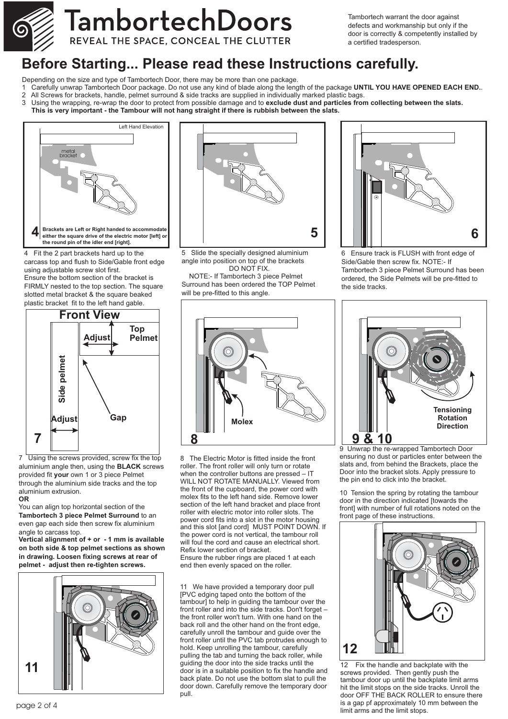

# TambortechDoors REVEAL THE SPACE, CONCEAL THE CLUTTER

Tambortech warrant the door against defects and workmanship but only if the door is correctly & competently installed by a certified tradesperson.

# **Before Starting... Please read these Instructions carefully.**

- Depending on the size and type of Tambortech Door, there may be more than one package.
- 1 Carefully unwrap Tambortech Door package. Do not use any kind of blade along the length of the package **UNTIL YOU HAVE OPENED EACH END.**.
- 2 All Screws for brackets, handle, pelmet surround & side tracks are supplied in individually marked plastic bags.<br>3 Using the wrapping re-wrap the door to protect from possible damage and to **exclude dust and particles fr**
- 3 Using the wrapping, re-wrap the door to protect from possible damage and to **exclude dust and particles from collecting between the slats. This is very important - the Tambour will not hang straight if there is rubbish between the slats.**



4 Fit the 2 part brackets hard up to the carcass top and flush to Side/Gable front edge using adjustable screw slot first. Ensure the bottom section of the bracket is FIRMLY nested to the top section. The square slotted metal bracket & the square beaked plastic bracket fit to the left hand gable.



7 Using the screws provided, screw fix the top aluminium angle then, using the **BLACK** screws provided fit **your** own 1 or 3 piece Pelmet through the aluminium side tracks and the top aluminium extrusion.

#### **OR**

You can align top horizontal section of the **Tambortech 3 piece Pelmet Surround** to an even gap each side then screw fix aluminium angle to carcass top.

**Vertical alignment of + or - 1 mm is available on both side & top pelmet sections as shown in drawing. Loosen fixing screws at rear of pelmet - adjust then re-tighten screws.**



5 Slide the specially designed aluminium angle into position on top of the brackets DO NOT FIX. NOTE:- If Tambortech 3 piece Pelmet

Surround has been ordered the TOP Pelmet will be pre-fitted to this angle.



6 Ensure track is FLUSH with front edge of Side/Gable then screw fix. NOTE:- If Tambortech 3 piece Pelmet Surround has been ordered, the Side Pelmets will be pre-fitted to the side tracks.



8 The Electric Motor is fitted inside the front roller. The front roller will only turn or rotate when the controller buttons are pressed – IT WILL NOT ROTATE MANUALLY. Viewed from the front of the cupboard, the power cord with molex fits to the left hand side. Remove lower section of the left hand bracket and place front roller with electric motor into roller slots. The power cord fits into a slot in the motor housing and this slot [and cord] MUST POINT DOWN. If the power cord is not vertical, the tambour roll will foul the cord and cause an electrical short. Refix lower section of bracket. Ensure the rubber rings are placed 1 at each end then evenly spaced on the roller.

11 We have provided a temporary door pull [PVC edging taped onto the bottom of the tambour] to help in guiding the tambour over the front roller and into the side tracks. Don't forget – the front roller won't turn. With one hand on the back roll and the other hand on the front edge, carefully unroll the tambour and guide over the front roller until the PVC tab protrudes enough to hold. Keep unrolling the tambour, carefully pulling the tab and turning the back roller, while guiding the door into the side tracks until the door is in a suitable position to fix the handle and back plate. Do not use the bottom slat to pull the door down. Carefully remove the temporary door pull.



9 Unwrap the re-wrapped Tambortech Door ensuring no dust or particles enter between the slats and, from behind the Brackets, place the Door into the bracket slots. Apply pressure to the pin end to click into the bracket.

10 Tension the spring by rotating the tambour door in the direction indicated [towards the front] with number of full rotations noted on the front page of these instructions.



12 Fix the handle and backplate with the screws provided. Then gently push the tambour door up until the backplate limit arms hit the limit stops on the side tracks. Unroll the door OFF THE BACK ROLLER to ensure there is a gap pf approximately 10 mm between the limit arms and the limit stops.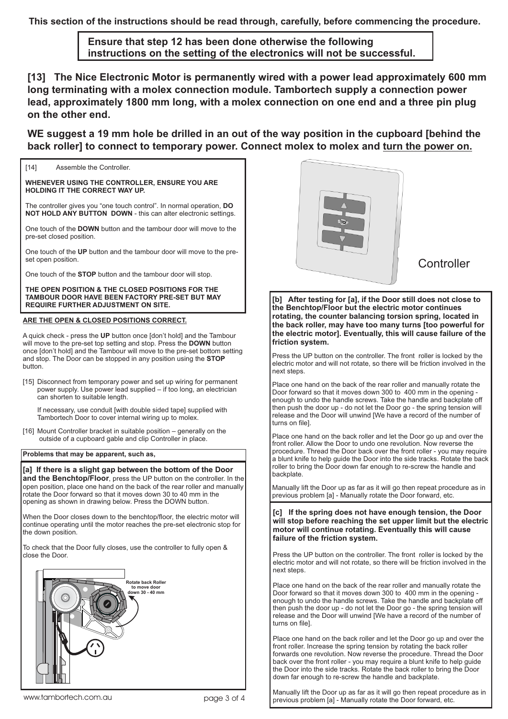**This section of the instructions should be read through, carefully, before commencing the procedure.**

**Ensure that step 12 has been done otherwise the following instructions on the setting of the electronics will not be successful.**

**[13] The Nice Electronic Motor is permanently wired with a power lead approximately 600 mm long terminating with a molex connection module. Tambortech supply a connection power lead, approximately 1800 mm long, with a molex connection on one end and a three pin plug on the other end.**

**WE suggest a 19 mm hole be drilled in an out of the way position in the cupboard [behind the back roller] to connect to temporary power. Connect molex to molex and turn the power on.**

[14] Assemble the Controller.

**WHENEVER USING THE CONTROLLER, ENSURE YOU ARE HOLDING IT THE CORRECT WAY UP.** 

The controller gives you "one touch control". In normal operation, **DO NOT HOLD ANY BUTTON DOWN** - this can alter electronic settings.

One touch of the **DOWN** button and the tambour door will move to the pre-set closed position.

One touch of the **UP** button and the tambour door will move to the preset open position

One touch of the **STOP** button and the tambour door will stop.

**THE OPEN POSITION & THE CLOSED POSITIONS FOR THE TAMBOUR DOOR HAVE BEEN FACTORY PRE-SET BUT MAY REQUIRE FURTHER ADJUSTMENT ON SITE.**

### **ARE THE OPEN & CLOSED POSITIONS CORRECT.**

A quick check - press the **UP** button once [don't hold] and the Tambour will move to the pre-set top setting and stop. Press the **DOWN** button once [don't hold] and the Tambour will move to the pre-set bottom setting and stop. The Door can be stopped in any position using the **STOP** button.

[15] Disconnect from temporary power and set up wiring for permanent power supply. Use power lead supplied – if too long, an electrician can shorten to suitable length.

If necessary, use conduit [with double sided tape] supplied with Tambortech Door to cover internal wiring up to molex.

[16] Mount Controller bracket in suitable position – generally on the outside of a cupboard gable and clip Controller in place.

**Problems that may be apparent, such as,**

**[a] If there is a slight gap between the bottom of the Door and the Benchtop/Floor**, press the UP button on the controller. In the open position, place one hand on the back of the rear roller and manually rotate the Door forward so that it moves down 30 to 40 mm in the opening as shown in drawing below. Press the DOWN button.

When the Door closes down to the benchtop/floor, the electric motor will continue operating until the motor reaches the pre-set electronic stop for the down position.

To check that the Door fully closes, use the controller to fully open & close the Door.





**Controller** 

**[b] After testing for [a], if the Door still does not close to the Benchtop/Floor but the electric motor continues rotating, the counter balancing torsion spring, located in the back roller, may have too many turns [too powerful for the electric motor]. Eventually, this will cause failure of the friction system.**

Press the UP button on the controller. The front roller is locked by the electric motor and will not rotate, so there will be friction involved in the next steps.

Place one hand on the back of the rear roller and manually rotate the Door forward so that it moves down 300 to 400 mm in the opening enough to undo the handle screws. Take the handle and backplate off then push the door up - do not let the Door go - the spring tension will release and the Door will unwind [We have a record of the number of turns on file].

Place one hand on the back roller and let the Door go up and over the front roller. Allow the Door to undo one revolution. Now reverse the procedure. Thread the Door back over the front roller - you may require a blunt knife to help guide the Door into the side tracks. Rotate the back roller to bring the Door down far enough to re-screw the handle and backplate.

Manually lift the Door up as far as it will go then repeat procedure as in previous problem [a] - Manually rotate the Door forward, etc.

**[c] If the spring does not have enough tension, the Door will stop before reaching the set upper limit but the electric motor will continue rotating. Eventually this will cause failure of the friction system.**

Press the UP button on the controller. The front roller is locked by the electric motor and will not rotate, so there will be friction involved in the next steps.

Place one hand on the back of the rear roller and manually rotate the Door forward so that it moves down 300 to 400 mm in the opening enough to undo the handle screws. Take the handle and backplate off then push the door up - do not let the Door go - the spring tension will release and the Door will unwind [We have a record of the number of turns on file].

Place one hand on the back roller and let the Door go up and over the front roller. Increase the spring tension by rotating the back roller forwards one revolution. Now reverse the procedure. Thread the Door back over the front roller - you may require a blunt knife to help guide the Door into the side tracks. Rotate the back roller to bring the Door down far enough to re-screw the handle and backplate.

Manually lift the Door up as far as it will go then repeat procedure as in previous problem [a] - Manually rotate the Door forward, etc.